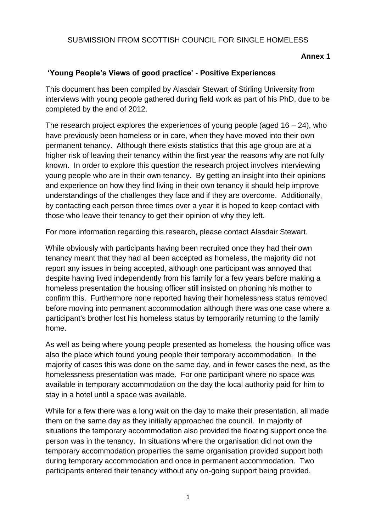### SUBMISSION FROM SCOTTISH COUNCIL FOR SINGLE HOMELESS

### **Annex 1**

### **'Young People's Views of good practice' - Positive Experiences**

This document has been compiled by Alasdair Stewart of Stirling University from interviews with young people gathered during field work as part of his PhD, due to be completed by the end of 2012.

The research project explores the experiences of young people (aged  $16 - 24$ ), who have previously been homeless or in care, when they have moved into their own permanent tenancy. Although there exists statistics that this age group are at a higher risk of leaving their tenancy within the first year the reasons why are not fully known. In order to explore this question the research project involves interviewing young people who are in their own tenancy. By getting an insight into their opinions and experience on how they find living in their own tenancy it should help improve understandings of the challenges they face and if they are overcome. Additionally, by contacting each person three times over a year it is hoped to keep contact with those who leave their tenancy to get their opinion of why they left.

For more information regarding this research, please contact Alasdair Stewart.

While obviously with participants having been recruited once they had their own tenancy meant that they had all been accepted as homeless, the majority did not report any issues in being accepted, although one participant was annoyed that despite having lived independently from his family for a few years before making a homeless presentation the housing officer still insisted on phoning his mother to confirm this. Furthermore none reported having their homelessness status removed before moving into permanent accommodation although there was one case where a participant's brother lost his homeless status by temporarily returning to the family home.

As well as being where young people presented as homeless, the housing office was also the place which found young people their temporary accommodation. In the majority of cases this was done on the same day, and in fewer cases the next, as the homelessness presentation was made. For one participant where no space was available in temporary accommodation on the day the local authority paid for him to stay in a hotel until a space was available.

While for a few there was a long wait on the day to make their presentation, all made them on the same day as they initially approached the council. In majority of situations the temporary accommodation also provided the floating support once the person was in the tenancy. In situations where the organisation did not own the temporary accommodation properties the same organisation provided support both during temporary accommodation and once in permanent accommodation. Two participants entered their tenancy without any on-going support being provided.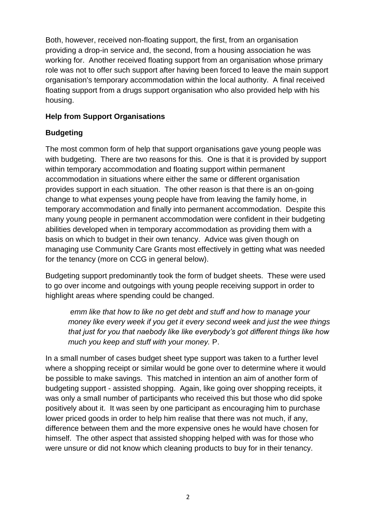Both, however, received non-floating support, the first, from an organisation providing a drop-in service and, the second, from a housing association he was working for. Another received floating support from an organisation whose primary role was not to offer such support after having been forced to leave the main support organisation's temporary accommodation within the local authority. A final received floating support from a drugs support organisation who also provided help with his housing.

### **Help from Support Organisations**

## **Budgeting**

The most common form of help that support organisations gave young people was with budgeting. There are two reasons for this. One is that it is provided by support within temporary accommodation and floating support within permanent accommodation in situations where either the same or different organisation provides support in each situation. The other reason is that there is an on-going change to what expenses young people have from leaving the family home, in temporary accommodation and finally into permanent accommodation. Despite this many young people in permanent accommodation were confident in their budgeting abilities developed when in temporary accommodation as providing them with a basis on which to budget in their own tenancy. Advice was given though on managing use Community Care Grants most effectively in getting what was needed for the tenancy (more on CCG in general below).

Budgeting support predominantly took the form of budget sheets. These were used to go over income and outgoings with young people receiving support in order to highlight areas where spending could be changed.

*emm like that how to like no get debt and stuff and how to manage your money like every week if you get it every second week and just the wee things that just for you that naebody like like everybody's got different things like how much you keep and stuff with your money.* P.

In a small number of cases budget sheet type support was taken to a further level where a shopping receipt or similar would be gone over to determine where it would be possible to make savings. This matched in intention an aim of another form of budgeting support - assisted shopping. Again, like going over shopping receipts, it was only a small number of participants who received this but those who did spoke positively about it. It was seen by one participant as encouraging him to purchase lower priced goods in order to help him realise that there was not much, if any, difference between them and the more expensive ones he would have chosen for himself. The other aspect that assisted shopping helped with was for those who were unsure or did not know which cleaning products to buy for in their tenancy.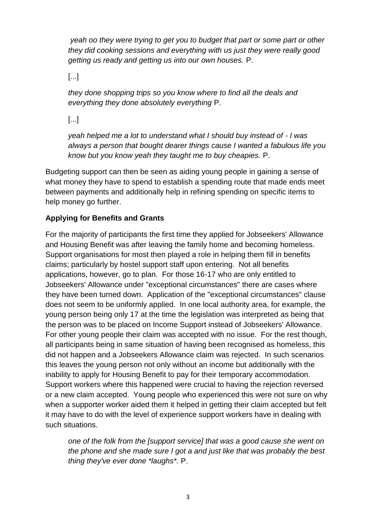*yeah oo they were trying to get you to budget that part or some part or other they did cooking sessions and everything with us just they were really good getting us ready and getting us into our own houses.* P.

[...]

*they done shopping trips so you know where to find all the deals and everything they done absolutely everything* P.

[...]

*yeah helped me a lot to understand what I should buy instead of - I was always a person that bought dearer things cause I wanted a fabulous life you know but you know yeah they taught me to buy cheapies.* P.

Budgeting support can then be seen as aiding young people in gaining a sense of what money they have to spend to establish a spending route that made ends meet between payments and additionally help in refining spending on specific items to help money go further.

# **Applying for Benefits and Grants**

For the majority of participants the first time they applied for Jobseekers' Allowance and Housing Benefit was after leaving the family home and becoming homeless. Support organisations for most then played a role in helping them fill in benefits claims; particularly by hostel support staff upon entering. Not all benefits applications, however, go to plan. For those 16-17 who are only entitled to Jobseekers' Allowance under "exceptional circumstances" there are cases where they have been turned down. Application of the "exceptional circumstances" clause does not seem to be uniformly applied. In one local authority area, for example, the young person being only 17 at the time the legislation was interpreted as being that the person was to be placed on Income Support instead of Jobseekers' Allowance. For other young people their claim was accepted with no issue. For the rest though, all participants being in same situation of having been recognised as homeless, this did not happen and a Jobseekers Allowance claim was rejected. In such scenarios this leaves the young person not only without an income but additionally with the inability to apply for Housing Benefit to pay for their temporary accommodation. Support workers where this happened were crucial to having the rejection reversed or a new claim accepted. Young people who experienced this were not sure on why when a supporter worker aided them it helped in getting their claim accepted but felt it may have to do with the level of experience support workers have in dealing with such situations.

*one of the folk from the [support service] that was a good cause she went on the phone and she made sure I got a and just like that was probably the best thing they've ever done \*laughs\*.* P.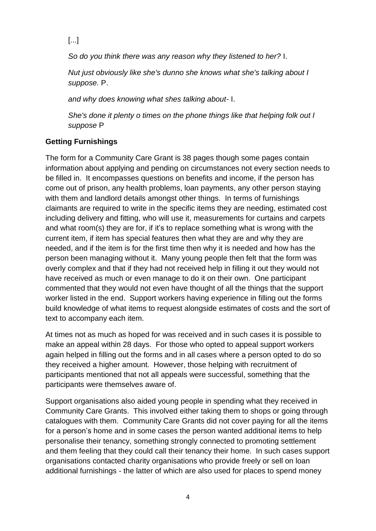[...]

*So do you think there was any reason why they listened to her?* I.

*Nut just obviously like she's dunno she knows what she's talking about I suppose.* P.

*and why does knowing what shes talking about-* I.

*She's done it plenty o times on the phone things like that helping folk out I suppose* P

## **Getting Furnishings**

The form for a Community Care Grant is 38 pages though some pages contain information about applying and pending on circumstances not every section needs to be filled in. It encompasses questions on benefits and income, if the person has come out of prison, any health problems, loan payments, any other person staying with them and landlord details amongst other things. In terms of furnishings claimants are required to write in the specific items they are needing, estimated cost including delivery and fitting, who will use it, measurements for curtains and carpets and what room(s) they are for, if it's to replace something what is wrong with the current item, if item has special features then what they are and why they are needed, and if the item is for the first time then why it is needed and how has the person been managing without it. Many young people then felt that the form was overly complex and that if they had not received help in filling it out they would not have received as much or even manage to do it on their own. One participant commented that they would not even have thought of all the things that the support worker listed in the end. Support workers having experience in filling out the forms build knowledge of what items to request alongside estimates of costs and the sort of text to accompany each item.

At times not as much as hoped for was received and in such cases it is possible to make an appeal within 28 days. For those who opted to appeal support workers again helped in filling out the forms and in all cases where a person opted to do so they received a higher amount. However, those helping with recruitment of participants mentioned that not all appeals were successful, something that the participants were themselves aware of.

Support organisations also aided young people in spending what they received in Community Care Grants. This involved either taking them to shops or going through catalogues with them. Community Care Grants did not cover paying for all the items for a person's home and in some cases the person wanted additional items to help personalise their tenancy, something strongly connected to promoting settlement and them feeling that they could call their tenancy their home. In such cases support organisations contacted charity organisations who provide freely or sell on loan additional furnishings - the latter of which are also used for places to spend money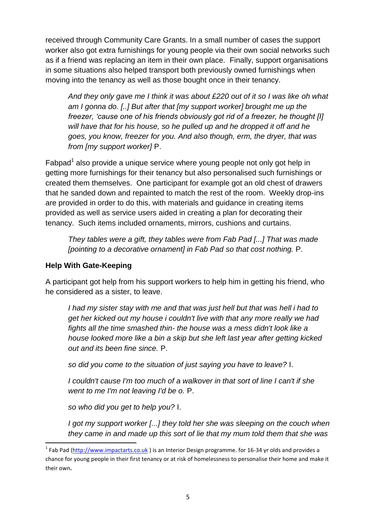received through Community Care Grants. In a small number of cases the support worker also got extra furnishings for young people via their own social networks such as if a friend was replacing an item in their own place. Finally, support organisations in some situations also helped transport both previously owned furnishings when moving into the tenancy as well as those bought once in their tenancy.

*And they only gave me I think it was about £220 out of it so I was like oh what am I gonna do. [..] But after that [my support worker] brought me up the freezer, 'cause one of his friends obviously got rid of a freezer, he thought [I] will have that for his house, so he pulled up and he dropped it off and he goes, you know, freezer for you. And also though, erm, the dryer, that was from [my support worker]* P.

Fabpad<sup>1</sup> also provide a unique service where young people not only got help in getting more furnishings for their tenancy but also personalised such furnishings or created them themselves. One participant for example got an old chest of drawers that he sanded down and repainted to match the rest of the room. Weekly drop-ins are provided in order to do this, with materials and guidance in creating items provided as well as service users aided in creating a plan for decorating their tenancy. Such items included ornaments, mirrors, cushions and curtains.

*They tables were a gift, they tables were from Fab Pad [...] That was made [pointing to a decorative ornament] in Fab Pad so that cost nothing.* P.

## **Help With Gate-Keeping**

1

A participant got help from his support workers to help him in getting his friend, who he considered as a sister, to leave.

*I had my sister stay with me and that was just hell but that was hell i had to get her kicked out my house i couldn't live with that any more really we had fights all the time smashed thin- the house was a mess didn't look like a house looked more like a bin a skip but she left last year after getting kicked out and its been fine since.* P.

*so did you come to the situation of just saying you have to leave?* I.

*I couldn't cause I'm too much of a walkover in that sort of line I can't if she went to me I'm not leaving I'd be o.* P.

*so who did you get to help you?* I.

*I got my support worker [...] they told her she was sleeping on the couch when they came in and made up this sort of lie that my mum told them that she was* 

<sup>&</sup>lt;sup>1</sup> Fab Pad [\(http://www.impactarts.co.uk](http://www.impactarts.co.uk/)) is an Interior Design programme. for 16-34 yr olds and provides a chance for young people in their first tenancy or at risk of homelessness to personalise their home and make it their own**.**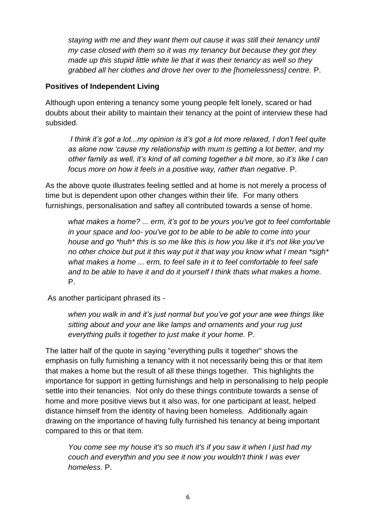*staying with me and they want them out cause it was still their tenancy until my case closed with them so it was my tenancy but because they got they made up this stupid little white lie that it was their tenancy as well so they grabbed all her clothes and drove her over to the [homelessness] centre.* P.

### **Positives of Independent Living**

Although upon entering a tenancy some young people felt lonely, scared or had doubts about their ability to maintain their tenancy at the point of interview these had subsided.

*I think it's got a lot...my opinion is it's got a lot more relaxed, I don't feel quite as alone now 'cause my relationship with mum is getting a lot better, and my other family as well, it's kind of all coming together a bit more, so it's like I can focus more on how it feels in a positive way, rather than negative*. P.

As the above quote illustrates feeling settled and at home is not merely a process of time but is dependent upon other changes within their life. For many others furnishings, personalisation and saftey all contributed towards a sense of home.

*what makes a home? ... erm, it's got to be yours you've got to feel comfortable in your space and loo- you've got to be able to be able to come into your house and go \*huh\* this is so me like this is how you like it it's not like you've no other choice but put it this way put it that way you know what I mean \*sigh\* what makes a home ... erm, to feel safe in it to feel comfortable to feel safe and to be able to have it and do it yourself I think thats what makes a home.*  P.

As another participant phrased its -

*when you walk in and it's just normal but you've got your ane wee things like sitting about and your ane like lamps and ornaments and your rug just everything pulls it together to just make it your home.* P.

The latter half of the quote in saying "everything pulls it together" shows the emphasis on fully furnishing a tenancy with it not necessarily being this or that item that makes a home but the result of all these things together. This highlights the importance for support in getting furnishings and help in personalising to help people settle into their tenancies. Not only do these things contribute towards a sense of home and more positive views but it also was, for one participant at least, helped distance himself from the identity of having been homeless. Additionally again drawing on the importance of having fully furnished his tenancy at being important compared to this or that item.

*You come see my house it's so much it's if you saw it when I just had my couch and everythin and you see it now you wouldn't think I was ever homeless.* P.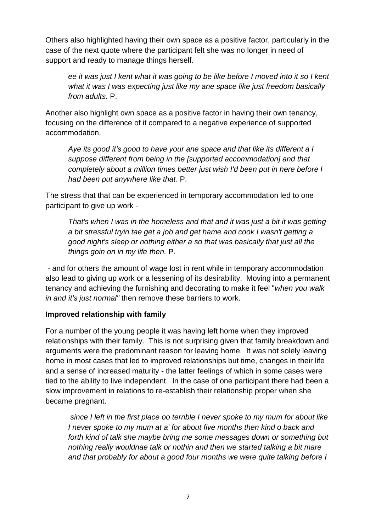Others also highlighted having their own space as a positive factor, particularly in the case of the next quote where the participant felt she was no longer in need of support and ready to manage things herself.

*ee it was just I kent what it was going to be like before I moved into it so I kent what it was I was expecting just like my ane space like just freedom basically from adults.* P.

Another also highlight own space as a positive factor in having their own tenancy, focusing on the difference of it compared to a negative experience of supported accommodation.

*Aye its good it's good to have your ane space and that like its different a I suppose different from being in the [supported accommodation] and that completely about a million times better just wish I'd been put in here before I had been put anywhere like that.* P.

The stress that that can be experienced in temporary accommodation led to one participant to give up work -

*That's when I was in the homeless and that and it was just a bit it was getting a bit stressful tryin tae get a job and get hame and cook I wasn't getting a good night's sleep or nothing either a so that was basically that just all the things goin on in my life then.* P.

- and for others the amount of wage lost in rent while in temporary accommodation also lead to giving up work or a lessening of its desirability. Moving into a permanent tenancy and achieving the furnishing and decorating to make it feel "*when you walk in and it's just normal"* then remove these barriers to work.

### **Improved relationship with family**

For a number of the young people it was having left home when they improved relationships with their family. This is not surprising given that family breakdown and arguments were the predominant reason for leaving home. It was not solely leaving home in most cases that led to improved relationships but time, changes in their life and a sense of increased maturity - the latter feelings of which in some cases were tied to the ability to live independent. In the case of one participant there had been a slow improvement in relations to re-establish their relationship proper when she became pregnant.

*since I left in the first place oo terrible I never spoke to my mum for about like I never spoke to my mum at a' for about five months then kind o back and forth kind of talk she maybe bring me some messages down or something but nothing really wouldnae talk or nothin and then we started talking a bit mare and that probably for about a good four months we were quite talking before I*